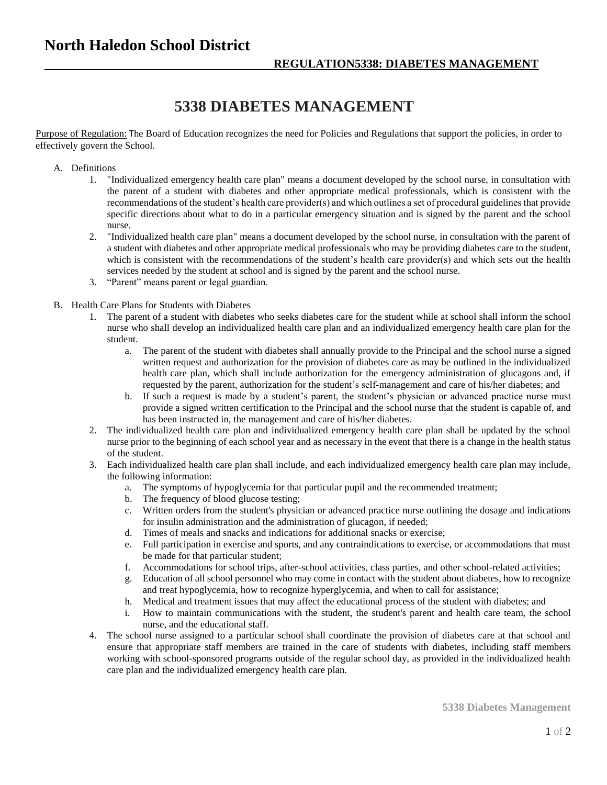## **5338 DIABETES MANAGEMENT**

Purpose of Regulation: The Board of Education recognizes the need for Policies and Regulations that support the policies, in order to effectively govern the School.

## A. Definitions

- 1. "Individualized emergency health care plan" means a document developed by the school nurse, in consultation with the parent of a student with diabetes and other appropriate medical professionals, which is consistent with the recommendations of the student's health care provider(s) and which outlines a set of procedural guidelines that provide specific directions about what to do in a particular emergency situation and is signed by the parent and the school nurse.
- 2. "Individualized health care plan" means a document developed by the school nurse, in consultation with the parent of a student with diabetes and other appropriate medical professionals who may be providing diabetes care to the student, which is consistent with the recommendations of the student's health care provider(s) and which sets out the health services needed by the student at school and is signed by the parent and the school nurse.
- 3. "Parent" means parent or legal guardian.
- B. Health Care Plans for Students with Diabetes
	- 1. The parent of a student with diabetes who seeks diabetes care for the student while at school shall inform the school nurse who shall develop an individualized health care plan and an individualized emergency health care plan for the student.
		- a. The parent of the student with diabetes shall annually provide to the Principal and the school nurse a signed written request and authorization for the provision of diabetes care as may be outlined in the individualized health care plan, which shall include authorization for the emergency administration of glucagons and, if requested by the parent, authorization for the student's self-management and care of his/her diabetes; and
		- b. If such a request is made by a student's parent, the student's physician or advanced practice nurse must provide a signed written certification to the Principal and the school nurse that the student is capable of, and has been instructed in, the management and care of his/her diabetes.
	- 2. The individualized health care plan and individualized emergency health care plan shall be updated by the school nurse prior to the beginning of each school year and as necessary in the event that there is a change in the health status of the student.
	- 3. Each individualized health care plan shall include, and each individualized emergency health care plan may include, the following information:
		- a. The symptoms of hypoglycemia for that particular pupil and the recommended treatment;
		- b. The frequency of blood glucose testing;
		- c. Written orders from the student's physician or advanced practice nurse outlining the dosage and indications for insulin administration and the administration of glucagon, if needed;
		- d. Times of meals and snacks and indications for additional snacks or exercise;
		- e. Full participation in exercise and sports, and any contraindications to exercise, or accommodations that must be made for that particular student;
		- f. Accommodations for school trips, after-school activities, class parties, and other school-related activities;
		- g. Education of all school personnel who may come in contact with the student about diabetes, how to recognize and treat hypoglycemia, how to recognize hyperglycemia, and when to call for assistance;
		- h. Medical and treatment issues that may affect the educational process of the student with diabetes; and
		- i. How to maintain communications with the student, the student's parent and health care team, the school nurse, and the educational staff.
	- 4. The school nurse assigned to a particular school shall coordinate the provision of diabetes care at that school and ensure that appropriate staff members are trained in the care of students with diabetes, including staff members working with school-sponsored programs outside of the regular school day, as provided in the individualized health care plan and the individualized emergency health care plan.